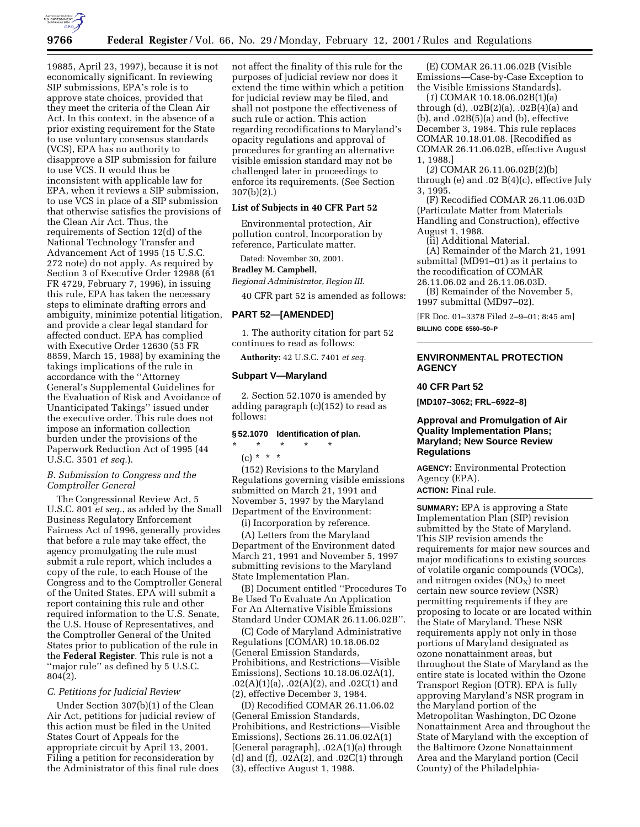

19885, April 23, 1997), because it is not economically significant. In reviewing SIP submissions, EPA's role is to approve state choices, provided that they meet the criteria of the Clean Air Act. In this context, in the absence of a prior existing requirement for the State to use voluntary consensus standards (VCS), EPA has no authority to disapprove a SIP submission for failure to use VCS. It would thus be inconsistent with applicable law for EPA, when it reviews a SIP submission, to use VCS in place of a SIP submission that otherwise satisfies the provisions of the Clean Air Act. Thus, the requirements of Section 12(d) of the National Technology Transfer and Advancement Act of 1995 (15 U.S.C. 272 note) do not apply. As required by Section 3 of Executive Order 12988 (61 FR 4729, February 7, 1996), in issuing this rule, EPA has taken the necessary steps to eliminate drafting errors and ambiguity, minimize potential litigation, and provide a clear legal standard for affected conduct. EPA has complied with Executive Order 12630 (53 FR 8859, March 15, 1988) by examining the takings implications of the rule in accordance with the ''Attorney General's Supplemental Guidelines for the Evaluation of Risk and Avoidance of Unanticipated Takings'' issued under the executive order. This rule does not impose an information collection burden under the provisions of the Paperwork Reduction Act of 1995 (44 U.S.C. 3501 *et seq.*).

# *B. Submission to Congress and the Comptroller General*

The Congressional Review Act, 5 U.S.C. 801 *et seq.*, as added by the Small Business Regulatory Enforcement Fairness Act of 1996, generally provides that before a rule may take effect, the agency promulgating the rule must submit a rule report, which includes a copy of the rule, to each House of the Congress and to the Comptroller General of the United States. EPA will submit a report containing this rule and other required information to the U.S. Senate, the U.S. House of Representatives, and the Comptroller General of the United States prior to publication of the rule in the **Federal Register**. This rule is not a ''major rule'' as defined by 5 U.S.C. 804(2).

#### *C. Petitions for Judicial Review*

Under Section 307(b)(1) of the Clean Air Act, petitions for judicial review of this action must be filed in the United States Court of Appeals for the appropriate circuit by April 13, 2001. Filing a petition for reconsideration by the Administrator of this final rule does not affect the finality of this rule for the purposes of judicial review nor does it extend the time within which a petition for judicial review may be filed, and shall not postpone the effectiveness of such rule or action. This action regarding recodifications to Maryland's opacity regulations and approval of procedures for granting an alternative visible emission standard may not be challenged later in proceedings to enforce its requirements. (See Section 307(b)(2).)

#### **List of Subjects in 40 CFR Part 52**

Environmental protection, Air pollution control, Incorporation by reference, Particulate matter.

Dated: November 30, 2001.

# **Bradley M. Campbell,**

*Regional Administrator, Region III.*

40 CFR part 52 is amended as follows:

### **PART 52—[AMENDED]**

1. The authority citation for part 52 continues to read as follows:

**Authority:** 42 U.S.C. 7401 *et seq.*

### **Subpart V—Maryland**

2. Section 52.1070 is amended by adding paragraph (c)(152) to read as follows:

#### **§ 52.1070 Identification of plan.**

- \* \* \* \* \*
	- (c) \* \* \*

(152) Revisions to the Maryland Regulations governing visible emissions submitted on March 21, 1991 and November 5, 1997 by the Maryland Department of the Environment:

(i) Incorporation by reference.

(A) Letters from the Maryland Department of the Environment dated March 21, 1991 and November 5, 1997 submitting revisions to the Maryland State Implementation Plan.

(B) Document entitled ''Procedures To Be Used To Evaluate An Application For An Alternative Visible Emissions Standard Under COMAR 26.11.06.02B''.

(C) Code of Maryland Administrative Regulations (COMAR) 10.18.06.02 (General Emission Standards, Prohibitions, and Restrictions—Visible Emissions), Sections 10.18.06.02A(1),  $.02(A)(1)(a)$ ,  $.02(A)(2)$ , and  $.02C(1)$  and (2), effective December 3, 1984.

(D) Recodified COMAR 26.11.06.02 (General Emission Standards, Prohibitions, and Restrictions—Visible Emissions), Sections 26.11.06.02A(1) [General paragraph], .02A(1)(a) through (d) and (f), .02A(2), and .02C(1) through (3), effective August 1, 1988.

(E) COMAR 26.11.06.02B (Visible Emissions—Case-by-Case Exception to the Visible Emissions Standards).

(*1*) COMAR 10.18.06.02B(1)(a) through (d), .02B(2)(a), .02B(4)(a) and (b), and .02B(5)(a) and (b), effective December 3, 1984. This rule replaces COMAR 10.18.01.08. [Recodified as COMAR 26.11.06.02B, effective August 1, 1988.]

(*2*) COMAR 26.11.06.02B(2)(b) through (e) and .02 B(4)(c), effective July 3, 1995.

(F) Recodified COMAR 26.11.06.03D (Particulate Matter from Materials Handling and Construction), effective August 1, 1988.

(ii) Additional Material.

(A) Remainder of the March 21, 1991 submittal (MD91–01) as it pertains to the recodification of COMAR 26.11.06.02 and 26.11.06.03D.

(B) Remainder of the November 5, 1997 submittal (MD97–02).

[FR Doc. 01–3378 Filed 2–9–01; 8:45 am] **BILLING CODE 6560–50–P**

# **ENVIRONMENTAL PROTECTION AGENCY**

#### **40 CFR Part 52**

**[MD107–3062; FRL–6922–8]**

# **Approval and Promulgation of Air Quality Implementation Plans; Maryland; New Source Review Regulations**

**AGENCY:** Environmental Protection Agency (EPA).

**ACTION:** Final rule.

**SUMMARY:** EPA is approving a State Implementation Plan (SIP) revision submitted by the State of Maryland. This SIP revision amends the requirements for major new sources and major modifications to existing sources of volatile organic compounds (VOCs), and nitrogen oxides  $(NO<sub>X</sub>)$  to meet certain new source review (NSR) permitting requirements if they are proposing to locate or are located within the State of Maryland. These NSR requirements apply not only in those portions of Maryland designated as ozone nonattainment areas, but throughout the State of Maryland as the entire state is located within the Ozone Transport Region (OTR). EPA is fully approving Maryland's NSR program in the Maryland portion of the Metropolitan Washington, DC Ozone Nonattainment Area and throughout the State of Maryland with the exception of the Baltimore Ozone Nonattainment Area and the Maryland portion (Cecil County) of the Philadelphia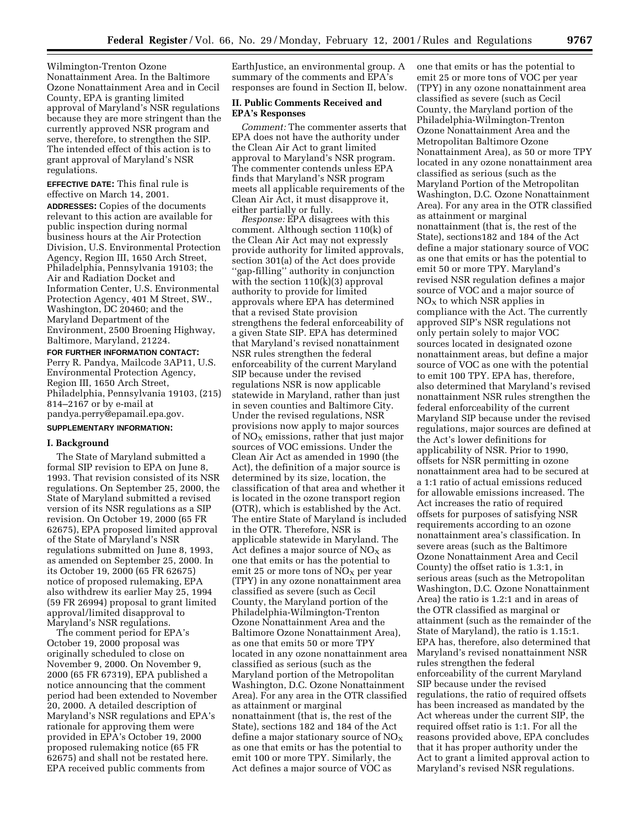Wilmington-Trenton Ozone Nonattainment Area. In the Baltimore Ozone Nonattainment Area and in Cecil County, EPA is granting limited approval of Maryland's NSR regulations because they are more stringent than the currently approved NSR program and serve, therefore, to strengthen the SIP. The intended effect of this action is to grant approval of Maryland's NSR regulations.

**EFFECTIVE DATE:** This final rule is effective on March 14, 2001. **ADDRESSES:** Copies of the documents relevant to this action are available for public inspection during normal business hours at the Air Protection Division, U.S. Environmental Protection Agency, Region III, 1650 Arch Street, Philadelphia, Pennsylvania 19103; the Air and Radiation Docket and Information Center, U.S. Environmental Protection Agency, 401 M Street, SW., Washington, DC 20460; and the Maryland Department of the Environment, 2500 Broening Highway, Baltimore, Maryland, 21224.

**FOR FURTHER INFORMATION CONTACT:** Perry R. Pandya, Mailcode 3AP11, U.S. Environmental Protection Agency, Region III, 1650 Arch Street, Philadelphia, Pennsylvania 19103, (215) 814–2167 or by e-mail at pandya.perry@epamail.epa.gov.

#### **SUPPLEMENTARY INFORMATION:**

### **I. Background**

The State of Maryland submitted a formal SIP revision to EPA on June 8, 1993. That revision consisted of its NSR regulations. On September 25, 2000, the State of Maryland submitted a revised version of its NSR regulations as a SIP revision. On October 19, 2000 (65 FR 62675), EPA proposed limited approval of the State of Maryland's NSR regulations submitted on June 8, 1993, as amended on September 25, 2000. In its October 19, 2000 (65 FR 62675) notice of proposed rulemaking, EPA also withdrew its earlier May 25, 1994 (59 FR 26994) proposal to grant limited approval/limited disapproval to Maryland's NSR regulations.

The comment period for EPA's October 19, 2000 proposal was originally scheduled to close on November 9, 2000. On November 9, 2000 (65 FR 67319), EPA published a notice announcing that the comment period had been extended to November 20, 2000. A detailed description of Maryland's NSR regulations and EPA's rationale for approving them were provided in EPA's October 19, 2000 proposed rulemaking notice (65 FR 62675) and shall not be restated here. EPA received public comments from

EarthJustice, an environmental group. A summary of the comments and EPA's responses are found in Section II, below.

# **II. Public Comments Received and EPA's Responses**

*Comment:* The commenter asserts that EPA does not have the authority under the Clean Air Act to grant limited approval to Maryland's NSR program. The commenter contends unless EPA finds that Maryland's NSR program meets all applicable requirements of the Clean Air Act, it must disapprove it, either partially or fully.

*Response:* EPA disagrees with this comment. Although section 110(k) of the Clean Air Act may not expressly provide authority for limited approvals, section 301(a) of the Act does provide ''gap-filling'' authority in conjunction with the section  $110(k)(3)$  approval authority to provide for limited approvals where EPA has determined that a revised State provision strengthens the federal enforceability of a given State SIP. EPA has determined that Maryland's revised nonattainment NSR rules strengthen the federal enforceability of the current Maryland SIP because under the revised regulations NSR is now applicable statewide in Maryland, rather than just in seven counties and Baltimore City. Under the revised regulations, NSR provisions now apply to major sources of  $NO<sub>x</sub>$  emissions, rather that just major sources of VOC emissions. Under the Clean Air Act as amended in 1990 (the Act), the definition of a major source is determined by its size, location, the classification of that area and whether it is located in the ozone transport region (OTR), which is established by the Act. The entire State of Maryland is included in the OTR. Therefore, NSR is applicable statewide in Maryland. The Act defines a major source of  $NO<sub>x</sub>$  as one that emits or has the potential to emit 25 or more tons of  $NO<sub>x</sub>$  per year (TPY) in any ozone nonattainment area classified as severe (such as Cecil County, the Maryland portion of the Philadelphia-Wilmington-Trenton Ozone Nonattainment Area and the Baltimore Ozone Nonattainment Area), as one that emits 50 or more TPY located in any ozone nonattainment area classified as serious (such as the Maryland portion of the Metropolitan Washington, D.C. Ozone Nonattainment Area). For any area in the OTR classified as attainment or marginal nonattainment (that is, the rest of the State), sections 182 and 184 of the Act define a major stationary source of  $NO<sub>X</sub>$ as one that emits or has the potential to emit 100 or more TPY. Similarly, the Act defines a major source of VOC as

one that emits or has the potential to emit 25 or more tons of VOC per year (TPY) in any ozone nonattainment area classified as severe (such as Cecil County, the Maryland portion of the Philadelphia-Wilmington-Trenton Ozone Nonattainment Area and the Metropolitan Baltimore Ozone Nonattainment Area), as 50 or more TPY located in any ozone nonattainment area classified as serious (such as the Maryland Portion of the Metropolitan Washington, D.C. Ozone Nonattainment Area). For any area in the OTR classified as attainment or marginal nonattainment (that is, the rest of the State), sections182 and 184 of the Act define a major stationary source of VOC as one that emits or has the potential to emit 50 or more TPY. Maryland's revised NSR regulation defines a major source of VOC and a major source of  $NO<sub>x</sub>$  to which NSR applies in compliance with the Act. The currently approved SIP's NSR regulations not only pertain solely to major VOC sources located in designated ozone nonattainment areas, but define a major source of VOC as one with the potential to emit 100 TPY. EPA has, therefore, also determined that Maryland's revised nonattainment NSR rules strengthen the federal enforceability of the current Maryland SIP because under the revised regulations, major sources are defined at the Act's lower definitions for applicability of NSR. Prior to 1990, offsets for NSR permitting in ozone nonattainment area had to be secured at a 1:1 ratio of actual emissions reduced for allowable emissions increased. The Act increases the ratio of required offsets for purposes of satisfying NSR requirements according to an ozone nonattainment area's classification. In severe areas (such as the Baltimore Ozone Nonattainment Area and Cecil County) the offset ratio is 1.3:1, in serious areas (such as the Metropolitan Washington, D.C. Ozone Nonattainment Area) the ratio is 1.2:1 and in areas of the OTR classified as marginal or attainment (such as the remainder of the State of Maryland), the ratio is 1.15:1. EPA has, therefore, also determined that Maryland's revised nonattainment NSR rules strengthen the federal enforceability of the current Maryland SIP because under the revised regulations, the ratio of required offsets has been increased as mandated by the Act whereas under the current SIP, the required offset ratio is 1:1. For all the reasons provided above, EPA concludes that it has proper authority under the Act to grant a limited approval action to Maryland's revised NSR regulations.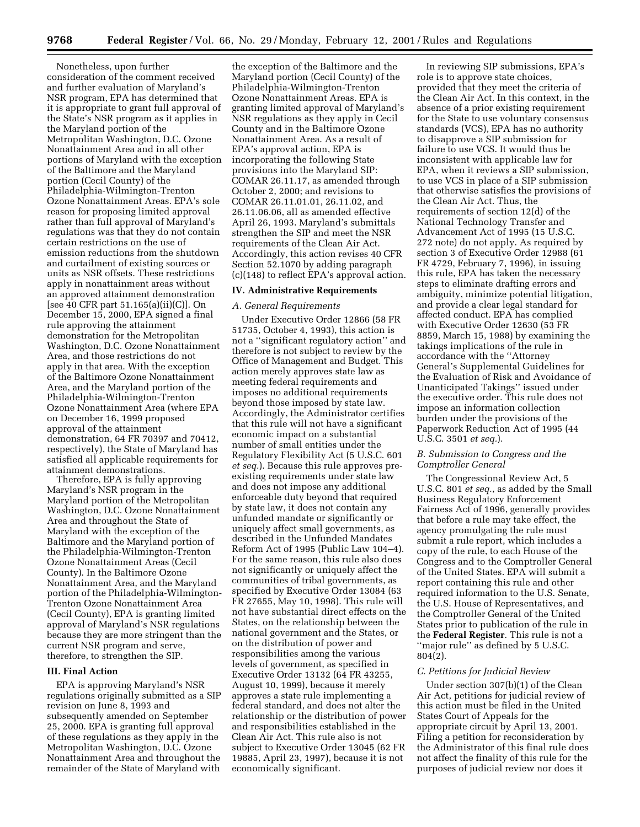Nonetheless, upon further consideration of the comment received and further evaluation of Maryland's NSR program, EPA has determined that it is appropriate to grant full approval of the State's NSR program as it applies in the Maryland portion of the Metropolitan Washington, D.C. Ozone Nonattainment Area and in all other portions of Maryland with the exception of the Baltimore and the Maryland portion (Cecil County) of the Philadelphia-Wilmington-Trenton Ozone Nonattainment Areas. EPA's sole reason for proposing limited approval rather than full approval of Maryland's regulations was that they do not contain certain restrictions on the use of emission reductions from the shutdown and curtailment of existing sources or units as NSR offsets. These restrictions apply in nonattainment areas without an approved attainment demonstration [see 40 CFR part 51.165(a)(ii)(C)]. On December 15, 2000, EPA signed a final rule approving the attainment demonstration for the Metropolitan Washington, D.C. Ozone Nonattainment Area, and those restrictions do not apply in that area. With the exception of the Baltimore Ozone Nonattainment Area, and the Maryland portion of the Philadelphia-Wilmington-Trenton Ozone Nonattainment Area (where EPA on December 16, 1999 proposed approval of the attainment demonstration, 64 FR 70397 and 70412, respectively), the State of Maryland has satisfied all applicable requirements for attainment demonstrations.

Therefore, EPA is fully approving Maryland's NSR program in the Maryland portion of the Metropolitan Washington, D.C. Ozone Nonattainment Area and throughout the State of Maryland with the exception of the Baltimore and the Maryland portion of the Philadelphia-Wilmington-Trenton Ozone Nonattainment Areas (Cecil County). In the Baltimore Ozone Nonattainment Area, and the Maryland portion of the Philadelphia-Wilmington-Trenton Ozone Nonattainment Area (Cecil County), EPA is granting limited approval of Maryland's NSR regulations because they are more stringent than the current NSR program and serve, therefore, to strengthen the SIP.

#### **III. Final Action**

EPA is approving Maryland's NSR regulations originally submitted as a SIP revision on June 8, 1993 and subsequently amended on September 25, 2000. EPA is granting full approval of these regulations as they apply in the Metropolitan Washington, D.C. Ozone Nonattainment Area and throughout the remainder of the State of Maryland with

the exception of the Baltimore and the Maryland portion (Cecil County) of the Philadelphia-Wilmington-Trenton Ozone Nonattainment Areas. EPA is granting limited approval of Maryland's NSR regulations as they apply in Cecil County and in the Baltimore Ozone Nonattainment Area. As a result of EPA's approval action, EPA is incorporating the following State provisions into the Maryland SIP: COMAR 26.11.17, as amended through October 2, 2000; and revisions to COMAR 26.11.01.01, 26.11.02, and 26.11.06.06, all as amended effective April 26, 1993. Maryland's submittals strengthen the SIP and meet the NSR requirements of the Clean Air Act. Accordingly, this action revises 40 CFR Section 52.1070 by adding paragraph (c)(148) to reflect EPA's approval action.

# **IV. Administrative Requirements**

### *A. General Requirements*

Under Executive Order 12866 (58 FR 51735, October 4, 1993), this action is not a ''significant regulatory action'' and therefore is not subject to review by the Office of Management and Budget. This action merely approves state law as meeting federal requirements and imposes no additional requirements beyond those imposed by state law. Accordingly, the Administrator certifies that this rule will not have a significant economic impact on a substantial number of small entities under the Regulatory Flexibility Act (5 U.S.C. 601 *et seq.*). Because this rule approves preexisting requirements under state law and does not impose any additional enforceable duty beyond that required by state law, it does not contain any unfunded mandate or significantly or uniquely affect small governments, as described in the Unfunded Mandates Reform Act of 1995 (Public Law 104–4). For the same reason, this rule also does not significantly or uniquely affect the communities of tribal governments, as specified by Executive Order 13084 (63 FR 27655, May 10, 1998). This rule will not have substantial direct effects on the States, on the relationship between the national government and the States, or on the distribution of power and responsibilities among the various levels of government, as specified in Executive Order 13132 (64 FR 43255, August 10, 1999), because it merely approves a state rule implementing a federal standard, and does not alter the relationship or the distribution of power and responsibilities established in the Clean Air Act. This rule also is not subject to Executive Order 13045 (62 FR 19885, April 23, 1997), because it is not economically significant.

In reviewing SIP submissions, EPA's role is to approve state choices, provided that they meet the criteria of the Clean Air Act. In this context, in the absence of a prior existing requirement for the State to use voluntary consensus standards (VCS), EPA has no authority to disapprove a SIP submission for failure to use VCS. It would thus be inconsistent with applicable law for EPA, when it reviews a SIP submission, to use VCS in place of a SIP submission that otherwise satisfies the provisions of the Clean Air Act. Thus, the requirements of section 12(d) of the National Technology Transfer and Advancement Act of 1995 (15 U.S.C. 272 note) do not apply. As required by section 3 of Executive Order 12988 (61 FR 4729, February 7, 1996), in issuing this rule, EPA has taken the necessary steps to eliminate drafting errors and ambiguity, minimize potential litigation, and provide a clear legal standard for affected conduct. EPA has complied with Executive Order 12630 (53 FR 8859, March 15, 1988) by examining the takings implications of the rule in accordance with the ''Attorney General's Supplemental Guidelines for the Evaluation of Risk and Avoidance of Unanticipated Takings'' issued under the executive order. This rule does not impose an information collection burden under the provisions of the Paperwork Reduction Act of 1995 (44 U.S.C. 3501 *et seq.*).

### *B. Submission to Congress and the Comptroller General*

The Congressional Review Act, 5 U.S.C. 801 *et seq.*, as added by the Small Business Regulatory Enforcement Fairness Act of 1996, generally provides that before a rule may take effect, the agency promulgating the rule must submit a rule report, which includes a copy of the rule, to each House of the Congress and to the Comptroller General of the United States. EPA will submit a report containing this rule and other required information to the U.S. Senate, the U.S. House of Representatives, and the Comptroller General of the United States prior to publication of the rule in the **Federal Register**. This rule is not a ''major rule'' as defined by 5 U.S.C. 804(2).

### *C. Petitions for Judicial Review*

Under section 307(b)(1) of the Clean Air Act, petitions for judicial review of this action must be filed in the United States Court of Appeals for the appropriate circuit by April 13, 2001. Filing a petition for reconsideration by the Administrator of this final rule does not affect the finality of this rule for the purposes of judicial review nor does it